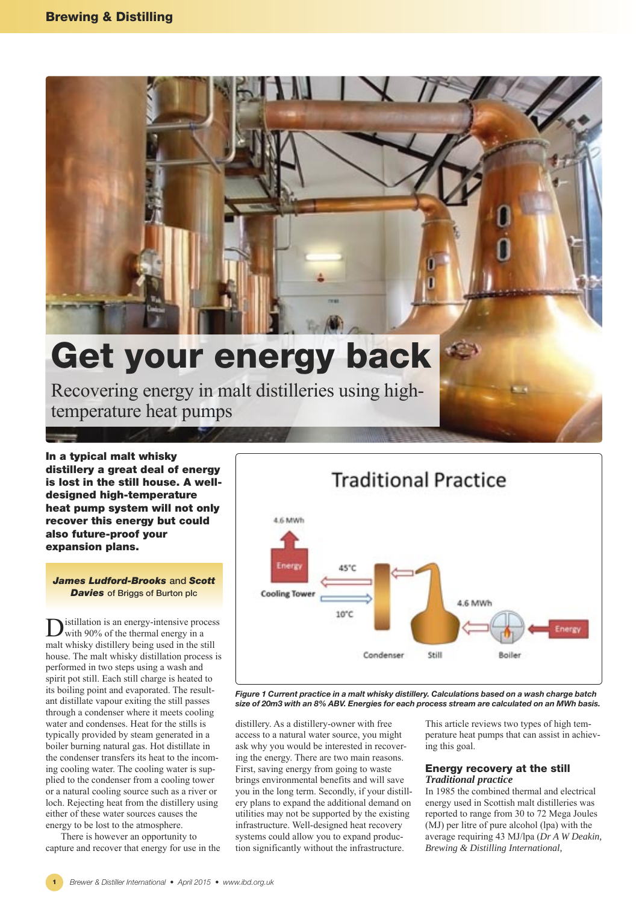

# **Get your energy back**

Recovering energy in malt distilleries using hightemperature heat pumps

**In a typical malt whisky distillery a great deal of energy is lost in the still house. A welldesigned high-temperature heat pump system will not only recover this energy but could also future-proof your expansion plans.**

*James Ludford-Brooks* **and** *Scott Davies* **of Briggs of Burton plc**

istillation is an energy-intensive process with 90% of the thermal energy in a malt whisky distillery being used in the still house. The malt whisky distillation process is performed in two steps using a wash and spirit pot still. Each still charge is heated to its boiling point and evaporated. The resultant distillate vapour exiting the still passes through a condenser where it meets cooling water and condenses. Heat for the stills is typically provided by steam generated in a boiler burning natural gas. Hot distillate in the condenser transfers its heat to the incoming cooling water. The cooling water is supplied to the condenser from a cooling tower or a natural cooling source such as a river or loch. Rejecting heat from the distillery using either of these water sources causes the energy to be lost to the atmosphere.

There is however an opportunity to capture and recover that energy for use in the



*Figure 1 Current practice in a malt whisky distillery. Calculations based on a wash charge batch size of 20m3 with an 8% ABV. Energies for each process stream are calculated on an MWh basis.* 

distillery. As a distillery-owner with free access to a natural water source, you might ask why you would be interested in recovering the energy. There are two main reasons. First, saving energy from going to waste brings environmental benefits and will save you in the long term. Secondly, if your distillery plans to expand the additional demand on utilities may not be supported by the existing infrastructure. Well-designed heat recovery systems could allow you to expand production significantly without the infrastructure.

This article reviews two types of high temperature heat pumps that can assist in achieving this goal.

## **Energy recovery at the still** *Traditional practice*

In 1985 the combined thermal and electrical energy used in Scottish malt distilleries was reported to range from 30 to 72 Mega Joules (MJ) per litre of pure alcohol (lpa) with the average requiring 43 MJ/lpa (*Dr A W Deakin, Brewing & Distilling International,*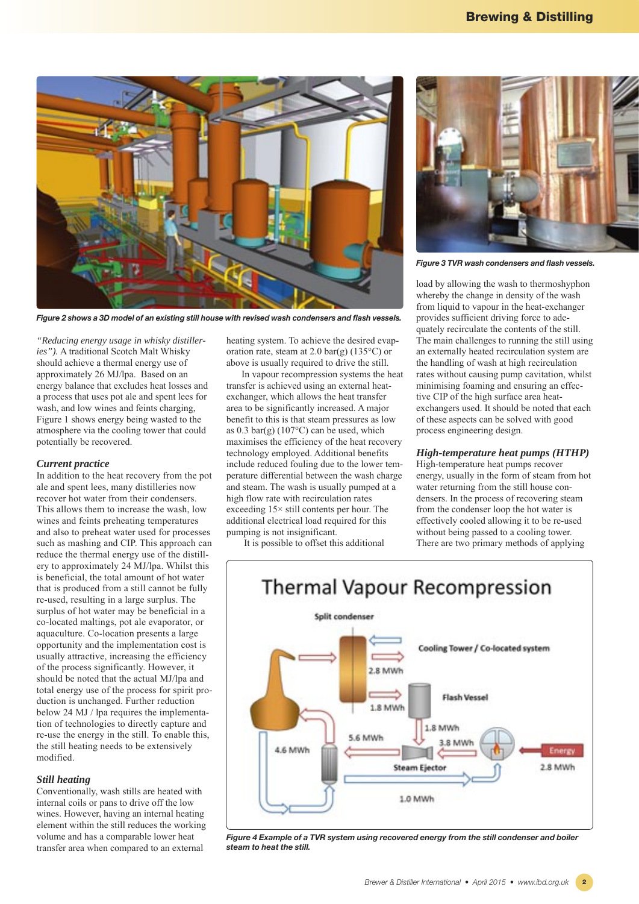

*Figure 2 shows a 3D model of an existing still house with revised wash condensers and flash vessels.*

*"Reducing energy usage in whisky distilleries").* A traditional Scotch Malt Whisky should achieve a thermal energy use of approximately 26 MJ/lpa. Based on an energy balance that excludes heat losses and a process that uses pot ale and spent lees for wash, and low wines and feints charging, Figure 1 shows energy being wasted to the atmosphere via the cooling tower that could potentially be recovered.

#### *Current practice*

In addition to the heat recovery from the pot ale and spent lees, many distilleries now recover hot water from their condensers. This allows them to increase the wash, low wines and feints preheating temperatures and also to preheat water used for processes such as mashing and CIP. This approach can reduce the thermal energy use of the distillery to approximately 24 MJ/lpa. Whilst this is beneficial, the total amount of hot water that is produced from a still cannot be fully re-used, resulting in a large surplus. The surplus of hot water may be beneficial in a co-located maltings, pot ale evaporator, or aquaculture. Co-location presents a large opportunity and the implementation cost is usually attractive, increasing the efficiency of the process significantly. However, it should be noted that the actual MJ/lpa and total energy use of the process for spirit production is unchanged. Further reduction below 24 MJ / lpa requires the implementation of technologies to directly capture and re-use the energy in the still. To enable this, the still heating needs to be extensively modified.

## *Still heating*

Conventionally, wash stills are heated with internal coils or pans to drive off the low wines. However, having an internal heating element within the still reduces the working volume and has a comparable lower heat transfer area when compared to an external

heating system. To achieve the desired evaporation rate, steam at 2.0 bar(g) (135 $\degree$ C) or above is usually required to drive the still.

In vapour recompression systems the heat transfer is achieved using an external heatexchanger, which allows the heat transfer area to be significantly increased. A major benefit to this is that steam pressures as low as  $0.3$  bar(g) (107 $\degree$ C) can be used, which maximises the efficiency of the heat recovery technology employed. Additional benefits include reduced fouling due to the lower temperature differential between the wash charge and steam. The wash is usually pumped at a high flow rate with recirculation rates exceeding 15× still contents per hour. The additional electrical load required for this pumping is not insignificant.

It is possible to offset this additional



*Figure 3 TVR wash condensers and flash vessels.*

load by allowing the wash to thermoshyphon whereby the change in density of the wash from liquid to vapour in the heat-exchanger provides sufficient driving force to adequately recirculate the contents of the still. The main challenges to running the still using an externally heated recirculation system are the handling of wash at high recirculation rates without causing pump cavitation, whilst minimising foaming and ensuring an effective CIP of the high surface area heatexchangers used. It should be noted that each of these aspects can be solved with good process engineering design.

# *High-temperature heat pumps (HTHP)*

High-temperature heat pumps recover energy, usually in the form of steam from hot water returning from the still house condensers. In the process of recovering steam from the condenser loop the hot water is effectively cooled allowing it to be re-used without being passed to a cooling tower. There are two primary methods of applying



*Figure 4 Example of a TVR system using recovered energy from the still condenser and boiler steam to heat the still.*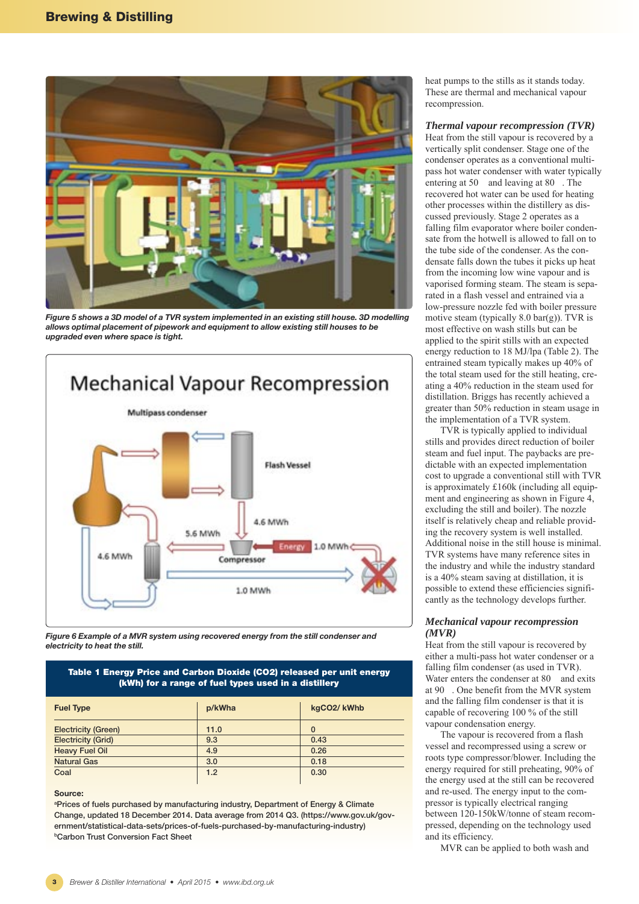

*Figure 5 shows a 3D model of a TVR system implemented in an existing still house. 3D modelling allows optimal placement of pipework and equipment to allow existing still houses to be upgraded even where space is tight.* 



*Figure 6 Example of a MVR system using recovered energy from the still condenser and electricity to heat the still.* 

## **Table 1 Energy Price and Carbon Dioxide (CO2) released per unit energy (kWh) for a range of fuel types used in a distillery**

| <b>Fuel Type</b>           | p/kWha | kgCO2/kWhb |
|----------------------------|--------|------------|
| <b>Electricity (Green)</b> | 11.0   | $\bf{0}$   |
| <b>Electricity (Grid)</b>  | 9.3    | 0.43       |
| <b>Heavy Fuel Oil</b>      | 4.9    | 0.26       |
| <b>Natural Gas</b>         | 3.0    | 0.18       |
| Coal                       | 1.2    | 0.30       |

## **Source:**

**aPrices of fuels purchased by manufacturing industry, Department of Energy & Climate Change, updated 18 December 2014. Data average from 2014 Q3. (https://www.gov.uk/government/statistical-data-sets/prices-of-fuels-purchased-by-manufacturing-industry) bCarbon Trust Conversion Fact Sheet**

heat pumps to the stills as it stands today. These are thermal and mechanical vapour recompression.

#### *Thermal vapour recompression (TVR)*

Heat from the still vapour is recovered by a vertically split condenser. Stage one of the condenser operates as a conventional multipass hot water condenser with water typically entering at 50 and leaving at 80. recovered hot water can be used for heating other processes within the distillery as discussed previously. Stage 2 operates as a falling film evaporator where boiler condensate from the hotwell is allowed to fall on to the tube side of the condenser. As the condensate falls down the tubes it picks up heat from the incoming low wine vapour and is vaporised forming steam. The steam is separated in a flash vessel and entrained via a low-pressure nozzle fed with boiler pressure motive steam (typically  $8.0 \text{ bar(g)}$ ). TVR is most effective on wash stills but can be applied to the spirit stills with an expected energy reduction to 18 MJ/lpa (Table 2). The entrained steam typically makes up 40% of the total steam used for the still heating, creating a 40% reduction in the steam used for distillation. Briggs has recently achieved a greater than 50% reduction in steam usage in the implementation of a TVR system.

TVR is typically applied to individual stills and provides direct reduction of boiler steam and fuel input. The paybacks are predictable with an expected implementation cost to upgrade a conventional still with TVR is approximately £160k (including all equipment and engineering as shown in Figure 4, excluding the still and boiler). The nozzle itself is relatively cheap and reliable providing the recovery system is well installed. Additional noise in the still house is minimal. TVR systems have many reference sites in the industry and while the industry standard is a 40% steam saving at distillation, it is possible to extend these efficiencies significantly as the technology develops further.

#### *Mechanical vapour recompression (MVR)*

Heat from the still vapour is recovered by either a multi-pass hot water condenser or a falling film condenser (as used in TVR). Water enters the condenser at 80 and exits at 90. One benefit from the MVR system and the falling film condenser is that it is capable of recovering 100 % of the still vapour condensation energy.

The vapour is recovered from a flash vessel and recompressed using a screw or roots type compressor/blower. Including the energy required for still preheating, 90% of the energy used at the still can be recovered and re-used. The energy input to the compressor is typically electrical ranging between 120-150kW/tonne of steam recompressed, depending on the technology used and its efficiency.

MVR can be applied to both wash and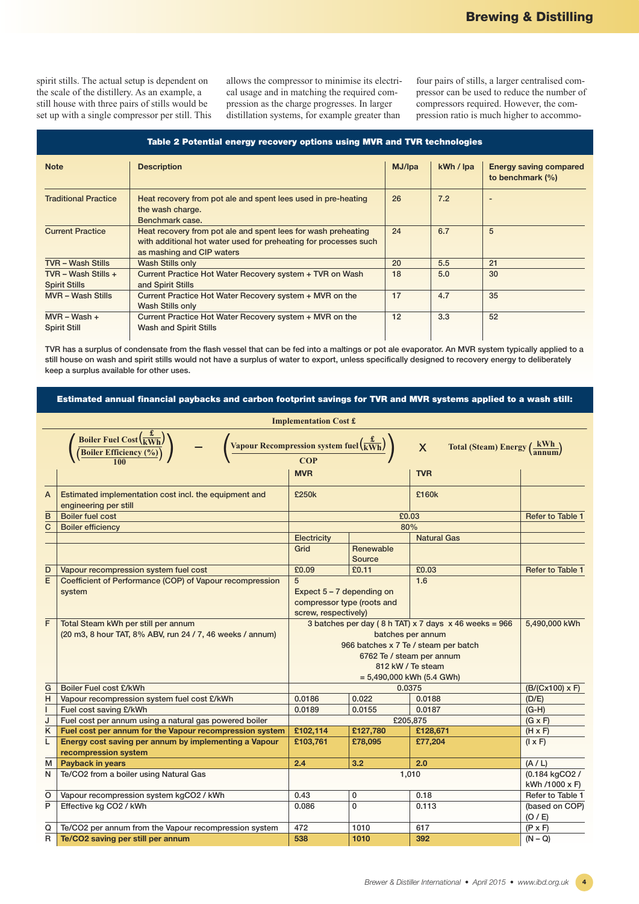spirit stills. The actual setup is dependent on the scale of the distillery. As an example, a still house with three pairs of stills would be set up with a single compressor per still. This allows the compressor to minimise its electrical usage and in matching the required compression as the charge progresses. In larger distillation systems, for example greater than

four pairs of stills, a larger centralised compressor can be used to reduce the number of compressors required. However, the compression ratio is much higher to accommo-

| Table 2 Potential energy recovery options using MVR and TVR technologies |  |
|--------------------------------------------------------------------------|--|
|                                                                          |  |

| <b>Note</b>                                 | <b>Description</b>                                                                                                                                             | MJ/lpa | kWh / lpa | <b>Energy saving compared</b><br>to benchmark $(\%)$ |
|---------------------------------------------|----------------------------------------------------------------------------------------------------------------------------------------------------------------|--------|-----------|------------------------------------------------------|
| <b>Traditional Practice</b>                 | Heat recovery from pot ale and spent lees used in pre-heating<br>the wash charge.<br>Benchmark case.                                                           | 26     | 7.2       |                                                      |
| <b>Current Practice</b>                     | Heat recovery from pot ale and spent lees for wash preheating<br>with additional hot water used for preheating for processes such<br>as mashing and CIP waters | 24     | 6.7       | 5                                                    |
| <b>TVR - Wash Stills</b>                    | Wash Stills only                                                                                                                                               | 20     | 5.5       | 21                                                   |
| TVR - Wash Stills +<br><b>Spirit Stills</b> | Current Practice Hot Water Recovery system + TVR on Wash<br>and Spirit Stills                                                                                  | 18     | 5.0       | 30                                                   |
| <b>MVR</b> – Wash Stills                    | Current Practice Hot Water Recovery system + MVR on the<br>Wash Stills only                                                                                    | 17     | 4.7       | 35                                                   |
| $MVR - Wash +$<br><b>Spirit Still</b>       | Current Practice Hot Water Recovery system + MVR on the<br>Wash and Spirit Stills                                                                              | 12     | 3.3       | 52                                                   |

**TVR has a surplus of condensate from the flash vessel that can be fed into a maltings or pot ale evaporator. An MVR system typically applied to a still house on wash and spirit stills would not have a surplus of water to export, unless specifically designed to recovery energy to deliberately keep a surplus available for other uses.**

**Estimated annual financial paybacks and carbon footprint savings for TVR and MVR systems applied to a wash still:**

| <b>Boiler Fuel Cost</b> $\left(\frac{\mathbf{t}}{\text{kWh}}\right)$<br>Vapour Recompression system fuel $\left(\frac{\dot{x}}{kWh}\right)$<br>Total (Steam) Energy $\left(\frac{kWh}{annum}\right)$<br>$\overline{\mathsf{X}}$<br><b>Boiler Efficiency (%</b><br>COP<br><b>MVR</b><br><b>TVR</b><br>£250k<br>£160k<br>Estimated implementation cost incl. the equipment and<br>A<br>engineering per still<br>B<br><b>Boiler fuel cost</b><br>£0.03<br><b>Refer to Table 1</b><br>80%<br>C<br><b>Boiler efficiency</b><br>Electricity<br><b>Natural Gas</b><br>Grid<br>Renewable<br>Source<br>£0.09<br>£0.03<br>£0.11<br>Refer to Table 1<br>D<br>Vapour recompression system fuel cost<br>E<br>5<br>1.6<br>Coefficient of Performance (COP) of Vapour recompression<br>Expect $5 - 7$ depending on<br>system<br>compressor type (roots and<br>screw, respectively)<br>F<br>3 batches per day (8 h TAT) $x$ 7 days $x$ 46 weeks = 966<br>Total Steam kWh per still per annum<br>5,490,000 kWh<br>(20 m3, 8 hour TAT, 8% ABV, run 24 / 7, 46 weeks / annum)<br>batches per annum<br>966 batches x 7 Te / steam per batch<br>6762 Te / steam per annum<br>812 kW / Te steam<br>$= 5,490,000$ kWh (5.4 GWh)<br>G<br>Boiler Fuel cost £/kWh<br>$(B/(Cx100) \times F)$<br>0.0375<br>0.022<br>H<br>Vapour recompression system fuel cost £/kWh<br>0.0186<br>0.0188<br>(D/E)<br>$(G-H)$<br>Fuel cost saving £/kWh<br>0.0189<br>т<br>0.0155<br>0.0187<br>Fuel cost per annum using a natural gas powered boiler<br>£205,875<br>J<br>$(G \times F)$<br>£102,114<br>£127,780<br>Κ<br>Fuel cost per annum for the Vapour recompression system<br>£128,671<br>$(H \times F)$<br>Energy cost saving per annum by implementing a Vapour<br>L<br>£103,761<br>£78,095<br>£77,204<br>$(I \times F)$<br>recompression system<br>Payback in years<br>3.2<br>2.0<br>(A/L)<br>2.4<br>м<br>(0.184 kgCO2 /<br>Te/CO2 from a boiler using Natural Gas<br>1,010<br>N<br>kWh /1000 x F)<br>Vapour recompression system kgCO2 / kWh<br>0.43<br>0.18<br>O<br>0<br>Refer to Table 1<br>P<br>$\mathbf{0}$<br>Effective kg CO2 / kWh<br>0.086<br>0.113<br>(based on COP)<br>(O / E)<br>Te/CO2 per annum from the Vapour recompression system<br>472<br>1010<br>$(P \times F)$<br>Q<br>617<br>R<br>Te/CO2 saving per still per annum<br>538<br>1010<br>392<br>$(N - Q)$ | <b>Implementation Cost £</b> |  |  |  |  |  |  |
|-----------------------------------------------------------------------------------------------------------------------------------------------------------------------------------------------------------------------------------------------------------------------------------------------------------------------------------------------------------------------------------------------------------------------------------------------------------------------------------------------------------------------------------------------------------------------------------------------------------------------------------------------------------------------------------------------------------------------------------------------------------------------------------------------------------------------------------------------------------------------------------------------------------------------------------------------------------------------------------------------------------------------------------------------------------------------------------------------------------------------------------------------------------------------------------------------------------------------------------------------------------------------------------------------------------------------------------------------------------------------------------------------------------------------------------------------------------------------------------------------------------------------------------------------------------------------------------------------------------------------------------------------------------------------------------------------------------------------------------------------------------------------------------------------------------------------------------------------------------------------------------------------------------------------------------------------------------------------------------------------------------------------------------------------------------------------------------------------------------------------------------------------------------------------------------------------------------------------------------------------------------------------------------------------------------------------------------------|------------------------------|--|--|--|--|--|--|
|                                                                                                                                                                                                                                                                                                                                                                                                                                                                                                                                                                                                                                                                                                                                                                                                                                                                                                                                                                                                                                                                                                                                                                                                                                                                                                                                                                                                                                                                                                                                                                                                                                                                                                                                                                                                                                                                                                                                                                                                                                                                                                                                                                                                                                                                                                                                         |                              |  |  |  |  |  |  |
|                                                                                                                                                                                                                                                                                                                                                                                                                                                                                                                                                                                                                                                                                                                                                                                                                                                                                                                                                                                                                                                                                                                                                                                                                                                                                                                                                                                                                                                                                                                                                                                                                                                                                                                                                                                                                                                                                                                                                                                                                                                                                                                                                                                                                                                                                                                                         |                              |  |  |  |  |  |  |
|                                                                                                                                                                                                                                                                                                                                                                                                                                                                                                                                                                                                                                                                                                                                                                                                                                                                                                                                                                                                                                                                                                                                                                                                                                                                                                                                                                                                                                                                                                                                                                                                                                                                                                                                                                                                                                                                                                                                                                                                                                                                                                                                                                                                                                                                                                                                         |                              |  |  |  |  |  |  |
|                                                                                                                                                                                                                                                                                                                                                                                                                                                                                                                                                                                                                                                                                                                                                                                                                                                                                                                                                                                                                                                                                                                                                                                                                                                                                                                                                                                                                                                                                                                                                                                                                                                                                                                                                                                                                                                                                                                                                                                                                                                                                                                                                                                                                                                                                                                                         |                              |  |  |  |  |  |  |
|                                                                                                                                                                                                                                                                                                                                                                                                                                                                                                                                                                                                                                                                                                                                                                                                                                                                                                                                                                                                                                                                                                                                                                                                                                                                                                                                                                                                                                                                                                                                                                                                                                                                                                                                                                                                                                                                                                                                                                                                                                                                                                                                                                                                                                                                                                                                         |                              |  |  |  |  |  |  |
|                                                                                                                                                                                                                                                                                                                                                                                                                                                                                                                                                                                                                                                                                                                                                                                                                                                                                                                                                                                                                                                                                                                                                                                                                                                                                                                                                                                                                                                                                                                                                                                                                                                                                                                                                                                                                                                                                                                                                                                                                                                                                                                                                                                                                                                                                                                                         |                              |  |  |  |  |  |  |
|                                                                                                                                                                                                                                                                                                                                                                                                                                                                                                                                                                                                                                                                                                                                                                                                                                                                                                                                                                                                                                                                                                                                                                                                                                                                                                                                                                                                                                                                                                                                                                                                                                                                                                                                                                                                                                                                                                                                                                                                                                                                                                                                                                                                                                                                                                                                         |                              |  |  |  |  |  |  |
|                                                                                                                                                                                                                                                                                                                                                                                                                                                                                                                                                                                                                                                                                                                                                                                                                                                                                                                                                                                                                                                                                                                                                                                                                                                                                                                                                                                                                                                                                                                                                                                                                                                                                                                                                                                                                                                                                                                                                                                                                                                                                                                                                                                                                                                                                                                                         |                              |  |  |  |  |  |  |
|                                                                                                                                                                                                                                                                                                                                                                                                                                                                                                                                                                                                                                                                                                                                                                                                                                                                                                                                                                                                                                                                                                                                                                                                                                                                                                                                                                                                                                                                                                                                                                                                                                                                                                                                                                                                                                                                                                                                                                                                                                                                                                                                                                                                                                                                                                                                         |                              |  |  |  |  |  |  |
|                                                                                                                                                                                                                                                                                                                                                                                                                                                                                                                                                                                                                                                                                                                                                                                                                                                                                                                                                                                                                                                                                                                                                                                                                                                                                                                                                                                                                                                                                                                                                                                                                                                                                                                                                                                                                                                                                                                                                                                                                                                                                                                                                                                                                                                                                                                                         |                              |  |  |  |  |  |  |
|                                                                                                                                                                                                                                                                                                                                                                                                                                                                                                                                                                                                                                                                                                                                                                                                                                                                                                                                                                                                                                                                                                                                                                                                                                                                                                                                                                                                                                                                                                                                                                                                                                                                                                                                                                                                                                                                                                                                                                                                                                                                                                                                                                                                                                                                                                                                         |                              |  |  |  |  |  |  |
|                                                                                                                                                                                                                                                                                                                                                                                                                                                                                                                                                                                                                                                                                                                                                                                                                                                                                                                                                                                                                                                                                                                                                                                                                                                                                                                                                                                                                                                                                                                                                                                                                                                                                                                                                                                                                                                                                                                                                                                                                                                                                                                                                                                                                                                                                                                                         |                              |  |  |  |  |  |  |
|                                                                                                                                                                                                                                                                                                                                                                                                                                                                                                                                                                                                                                                                                                                                                                                                                                                                                                                                                                                                                                                                                                                                                                                                                                                                                                                                                                                                                                                                                                                                                                                                                                                                                                                                                                                                                                                                                                                                                                                                                                                                                                                                                                                                                                                                                                                                         |                              |  |  |  |  |  |  |
|                                                                                                                                                                                                                                                                                                                                                                                                                                                                                                                                                                                                                                                                                                                                                                                                                                                                                                                                                                                                                                                                                                                                                                                                                                                                                                                                                                                                                                                                                                                                                                                                                                                                                                                                                                                                                                                                                                                                                                                                                                                                                                                                                                                                                                                                                                                                         |                              |  |  |  |  |  |  |
|                                                                                                                                                                                                                                                                                                                                                                                                                                                                                                                                                                                                                                                                                                                                                                                                                                                                                                                                                                                                                                                                                                                                                                                                                                                                                                                                                                                                                                                                                                                                                                                                                                                                                                                                                                                                                                                                                                                                                                                                                                                                                                                                                                                                                                                                                                                                         |                              |  |  |  |  |  |  |
|                                                                                                                                                                                                                                                                                                                                                                                                                                                                                                                                                                                                                                                                                                                                                                                                                                                                                                                                                                                                                                                                                                                                                                                                                                                                                                                                                                                                                                                                                                                                                                                                                                                                                                                                                                                                                                                                                                                                                                                                                                                                                                                                                                                                                                                                                                                                         |                              |  |  |  |  |  |  |
|                                                                                                                                                                                                                                                                                                                                                                                                                                                                                                                                                                                                                                                                                                                                                                                                                                                                                                                                                                                                                                                                                                                                                                                                                                                                                                                                                                                                                                                                                                                                                                                                                                                                                                                                                                                                                                                                                                                                                                                                                                                                                                                                                                                                                                                                                                                                         |                              |  |  |  |  |  |  |
|                                                                                                                                                                                                                                                                                                                                                                                                                                                                                                                                                                                                                                                                                                                                                                                                                                                                                                                                                                                                                                                                                                                                                                                                                                                                                                                                                                                                                                                                                                                                                                                                                                                                                                                                                                                                                                                                                                                                                                                                                                                                                                                                                                                                                                                                                                                                         |                              |  |  |  |  |  |  |
|                                                                                                                                                                                                                                                                                                                                                                                                                                                                                                                                                                                                                                                                                                                                                                                                                                                                                                                                                                                                                                                                                                                                                                                                                                                                                                                                                                                                                                                                                                                                                                                                                                                                                                                                                                                                                                                                                                                                                                                                                                                                                                                                                                                                                                                                                                                                         |                              |  |  |  |  |  |  |
|                                                                                                                                                                                                                                                                                                                                                                                                                                                                                                                                                                                                                                                                                                                                                                                                                                                                                                                                                                                                                                                                                                                                                                                                                                                                                                                                                                                                                                                                                                                                                                                                                                                                                                                                                                                                                                                                                                                                                                                                                                                                                                                                                                                                                                                                                                                                         |                              |  |  |  |  |  |  |
|                                                                                                                                                                                                                                                                                                                                                                                                                                                                                                                                                                                                                                                                                                                                                                                                                                                                                                                                                                                                                                                                                                                                                                                                                                                                                                                                                                                                                                                                                                                                                                                                                                                                                                                                                                                                                                                                                                                                                                                                                                                                                                                                                                                                                                                                                                                                         |                              |  |  |  |  |  |  |
|                                                                                                                                                                                                                                                                                                                                                                                                                                                                                                                                                                                                                                                                                                                                                                                                                                                                                                                                                                                                                                                                                                                                                                                                                                                                                                                                                                                                                                                                                                                                                                                                                                                                                                                                                                                                                                                                                                                                                                                                                                                                                                                                                                                                                                                                                                                                         |                              |  |  |  |  |  |  |
|                                                                                                                                                                                                                                                                                                                                                                                                                                                                                                                                                                                                                                                                                                                                                                                                                                                                                                                                                                                                                                                                                                                                                                                                                                                                                                                                                                                                                                                                                                                                                                                                                                                                                                                                                                                                                                                                                                                                                                                                                                                                                                                                                                                                                                                                                                                                         |                              |  |  |  |  |  |  |
|                                                                                                                                                                                                                                                                                                                                                                                                                                                                                                                                                                                                                                                                                                                                                                                                                                                                                                                                                                                                                                                                                                                                                                                                                                                                                                                                                                                                                                                                                                                                                                                                                                                                                                                                                                                                                                                                                                                                                                                                                                                                                                                                                                                                                                                                                                                                         |                              |  |  |  |  |  |  |
|                                                                                                                                                                                                                                                                                                                                                                                                                                                                                                                                                                                                                                                                                                                                                                                                                                                                                                                                                                                                                                                                                                                                                                                                                                                                                                                                                                                                                                                                                                                                                                                                                                                                                                                                                                                                                                                                                                                                                                                                                                                                                                                                                                                                                                                                                                                                         |                              |  |  |  |  |  |  |
|                                                                                                                                                                                                                                                                                                                                                                                                                                                                                                                                                                                                                                                                                                                                                                                                                                                                                                                                                                                                                                                                                                                                                                                                                                                                                                                                                                                                                                                                                                                                                                                                                                                                                                                                                                                                                                                                                                                                                                                                                                                                                                                                                                                                                                                                                                                                         |                              |  |  |  |  |  |  |
|                                                                                                                                                                                                                                                                                                                                                                                                                                                                                                                                                                                                                                                                                                                                                                                                                                                                                                                                                                                                                                                                                                                                                                                                                                                                                                                                                                                                                                                                                                                                                                                                                                                                                                                                                                                                                                                                                                                                                                                                                                                                                                                                                                                                                                                                                                                                         |                              |  |  |  |  |  |  |
|                                                                                                                                                                                                                                                                                                                                                                                                                                                                                                                                                                                                                                                                                                                                                                                                                                                                                                                                                                                                                                                                                                                                                                                                                                                                                                                                                                                                                                                                                                                                                                                                                                                                                                                                                                                                                                                                                                                                                                                                                                                                                                                                                                                                                                                                                                                                         |                              |  |  |  |  |  |  |
|                                                                                                                                                                                                                                                                                                                                                                                                                                                                                                                                                                                                                                                                                                                                                                                                                                                                                                                                                                                                                                                                                                                                                                                                                                                                                                                                                                                                                                                                                                                                                                                                                                                                                                                                                                                                                                                                                                                                                                                                                                                                                                                                                                                                                                                                                                                                         |                              |  |  |  |  |  |  |
|                                                                                                                                                                                                                                                                                                                                                                                                                                                                                                                                                                                                                                                                                                                                                                                                                                                                                                                                                                                                                                                                                                                                                                                                                                                                                                                                                                                                                                                                                                                                                                                                                                                                                                                                                                                                                                                                                                                                                                                                                                                                                                                                                                                                                                                                                                                                         |                              |  |  |  |  |  |  |
|                                                                                                                                                                                                                                                                                                                                                                                                                                                                                                                                                                                                                                                                                                                                                                                                                                                                                                                                                                                                                                                                                                                                                                                                                                                                                                                                                                                                                                                                                                                                                                                                                                                                                                                                                                                                                                                                                                                                                                                                                                                                                                                                                                                                                                                                                                                                         |                              |  |  |  |  |  |  |
|                                                                                                                                                                                                                                                                                                                                                                                                                                                                                                                                                                                                                                                                                                                                                                                                                                                                                                                                                                                                                                                                                                                                                                                                                                                                                                                                                                                                                                                                                                                                                                                                                                                                                                                                                                                                                                                                                                                                                                                                                                                                                                                                                                                                                                                                                                                                         |                              |  |  |  |  |  |  |